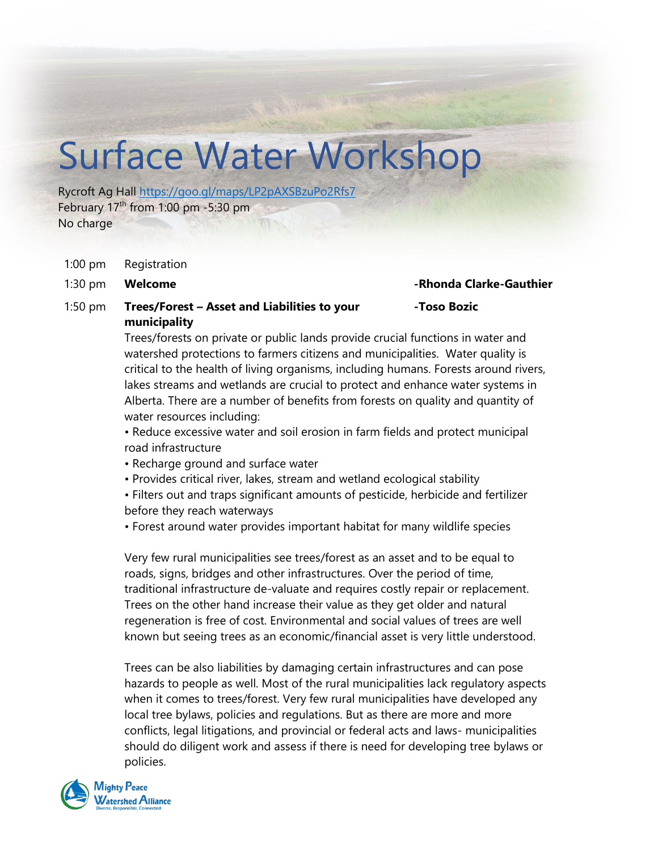# Surface Water Workshop

Rycroft Ag Hall<https://goo.gl/maps/LP2pAXSBzuPo2Rfs7> February  $17<sup>th</sup>$  from 1:00 pm -5:30 pm No charge

- 1:00 pm Registration
- 

1:30 pm **Welcome -Rhonda Clarke-Gauthier**

**-Toso Bozic**

# 1:50 pm **Trees/Forest – Asset and Liabilities to your municipality**

Trees/forests on private or public lands provide crucial functions in water and watershed protections to farmers citizens and municipalities. Water quality is critical to the health of living organisms, including humans. Forests around rivers, lakes streams and wetlands are crucial to protect and enhance water systems in Alberta. There are a number of benefits from forests on quality and quantity of water resources including:

• Reduce excessive water and soil erosion in farm fields and protect municipal road infrastructure

- Recharge ground and surface water
- Provides critical river, lakes, stream and wetland ecological stability
- Filters out and traps significant amounts of pesticide, herbicide and fertilizer before they reach waterways

• Forest around water provides important habitat for many wildlife species

Very few rural municipalities see trees/forest as an asset and to be equal to roads, signs, bridges and other infrastructures. Over the period of time, traditional infrastructure de-valuate and requires costly repair or replacement. Trees on the other hand increase their value as they get older and natural regeneration is free of cost. Environmental and social values of trees are well known but seeing trees as an economic/financial asset is very little understood.

Trees can be also liabilities by damaging certain infrastructures and can pose hazards to people as well. Most of the rural municipalities lack regulatory aspects when it comes to trees/forest. Very few rural municipalities have developed any local tree bylaws, policies and regulations. But as there are more and more conflicts, legal litigations, and provincial or federal acts and laws- municipalities should do diligent work and assess if there is need for developing tree bylaws or policies.

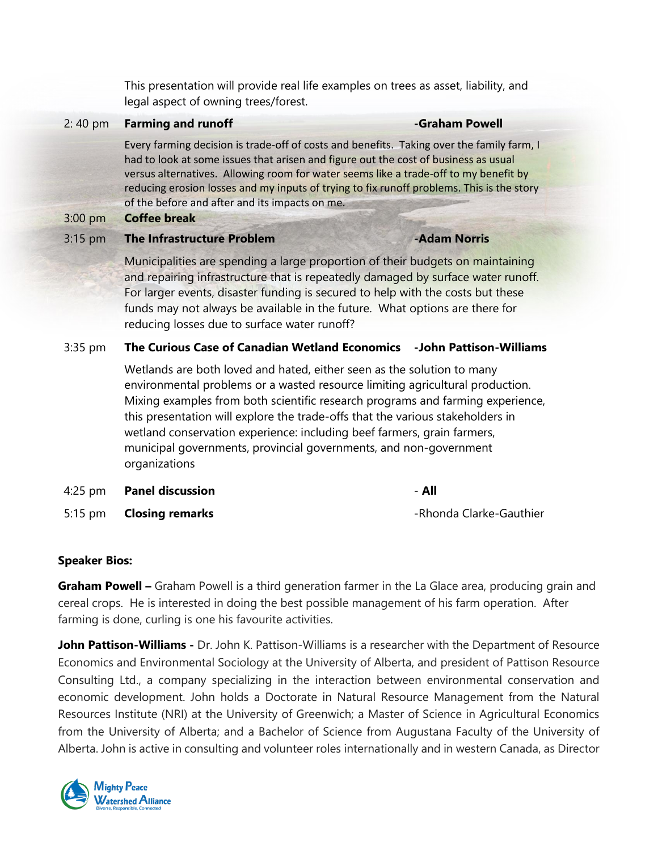This presentation will provide real life examples on trees as asset, liability, and legal aspect of owning trees/forest.

# 2: 40 pm **Farming and runoff Contract Contract Contract Contract Contract Contract Contract Contract Contract Contract Contract Contract Contract Contract Contract Contract Contract Contract Contract Contract Contract Co**

Every farming decision is trade-off of costs and benefits. Taking over the family farm, I had to look at some issues that arisen and figure out the cost of business as usual versus alternatives. Allowing room for water seems like a trade-off to my benefit by reducing erosion losses and my inputs of trying to fix runoff problems. This is the story of the before and after and its impacts on me.

### 3:00 pm **Coffee break**

### 3:15 pm **The Infrastructure Problem -Adam Norris**

Municipalities are spending a large proportion of their budgets on maintaining and repairing infrastructure that is repeatedly damaged by surface water runoff. For larger events, disaster funding is secured to help with the costs but these funds may not always be available in the future. What options are there for reducing losses due to surface water runoff?

# 3:35 pm **The Curious Case of Canadian Wetland Economics -John Pattison-Williams**

Wetlands are both loved and hated, either seen as the solution to many environmental problems or a wasted resource limiting agricultural production. Mixing examples from both scientific research programs and farming experience, this presentation will explore the trade-offs that the various stakeholders in wetland conservation experience: including beef farmers, grain farmers, municipal governments, provincial governments, and non-government organizations

4:25 pm **Panel discussion** - **All**

5:15 pm **Closing remarks Example 2018** The Rhonda Clarke-Gauthier

# **Speaker Bios:**

**Graham Powell –** Graham Powell is a third generation farmer in the La Glace area, producing grain and cereal crops. He is interested in doing the best possible management of his farm operation. After farming is done, curling is one his favourite activities.

**John Pattison-Williams -** Dr. John K. Pattison-Williams is a researcher with the Department of Resource Economics and Environmental Sociology at the University of Alberta, and president of Pattison Resource Consulting Ltd., a company specializing in the interaction between environmental conservation and economic development. John holds a Doctorate in Natural Resource Management from the Natural Resources Institute (NRI) at the University of Greenwich; a Master of Science in Agricultural Economics from the University of Alberta; and a Bachelor of Science from Augustana Faculty of the University of Alberta. John is active in consulting and volunteer roles internationally and in western Canada, as Director